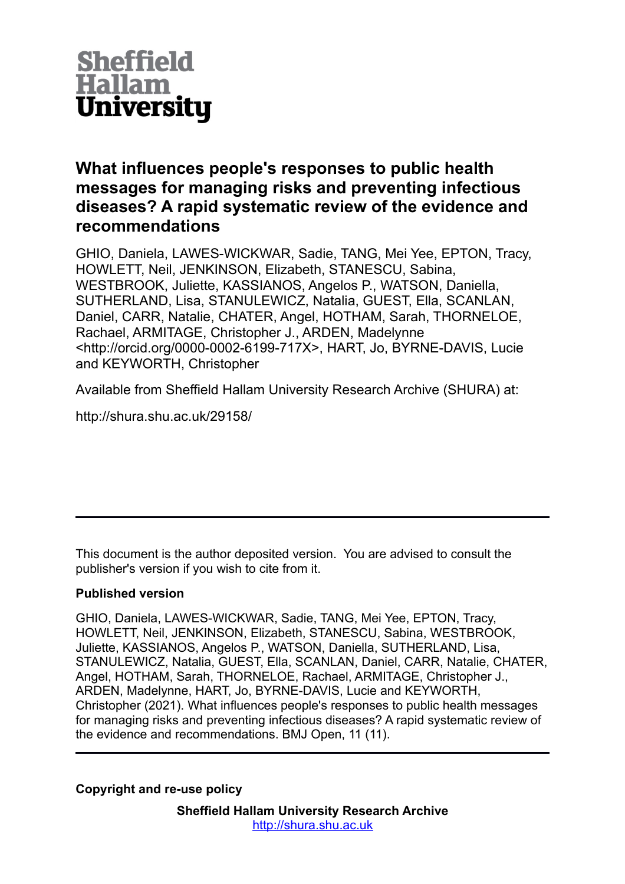

## **What influences people's responses to public health messages for managing risks and preventing infectious diseases? A rapid systematic review of the evidence and recommendations**

GHIO, Daniela, LAWES-WICKWAR, Sadie, TANG, Mei Yee, EPTON, Tracy, HOWLETT, Neil, JENKINSON, Elizabeth, STANESCU, Sabina, WESTBROOK, Juliette, KASSIANOS, Angelos P., WATSON, Daniella, SUTHERLAND, Lisa, STANULEWICZ, Natalia, GUEST, Ella, SCANLAN, Daniel, CARR, Natalie, CHATER, Angel, HOTHAM, Sarah, THORNELOE, Rachael, ARMITAGE, Christopher J., ARDEN, Madelynne <http://orcid.org/0000-0002-6199-717X>, HART, Jo, BYRNE-DAVIS, Lucie and KEYWORTH, Christopher

Available from Sheffield Hallam University Research Archive (SHURA) at:

http://shura.shu.ac.uk/29158/

This document is the author deposited version. You are advised to consult the publisher's version if you wish to cite from it.

## **Published version**

GHIO, Daniela, LAWES-WICKWAR, Sadie, TANG, Mei Yee, EPTON, Tracy, HOWLETT, Neil, JENKINSON, Elizabeth, STANESCU, Sabina, WESTBROOK, Juliette, KASSIANOS, Angelos P., WATSON, Daniella, SUTHERLAND, Lisa, STANULEWICZ, Natalia, GUEST, Ella, SCANLAN, Daniel, CARR, Natalie, CHATER, Angel, HOTHAM, Sarah, THORNELOE, Rachael, ARMITAGE, Christopher J., ARDEN, Madelynne, HART, Jo, BYRNE-DAVIS, Lucie and KEYWORTH, Christopher (2021). What influences people's responses to public health messages for managing risks and preventing infectious diseases? A rapid systematic review of the evidence and recommendations. BMJ Open, 11 (11).

**Copyright and re-use policy**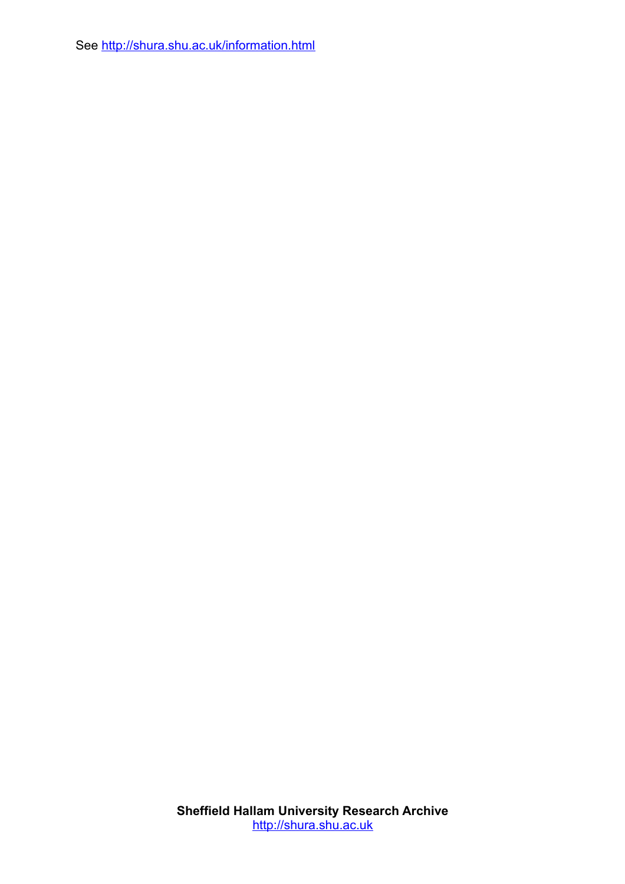See<http://shura.shu.ac.uk/information.html>

**Sheffield Hallam University Research Archive** [http://shura.shu.ac.uk](http://shura.shu.ac.uk/)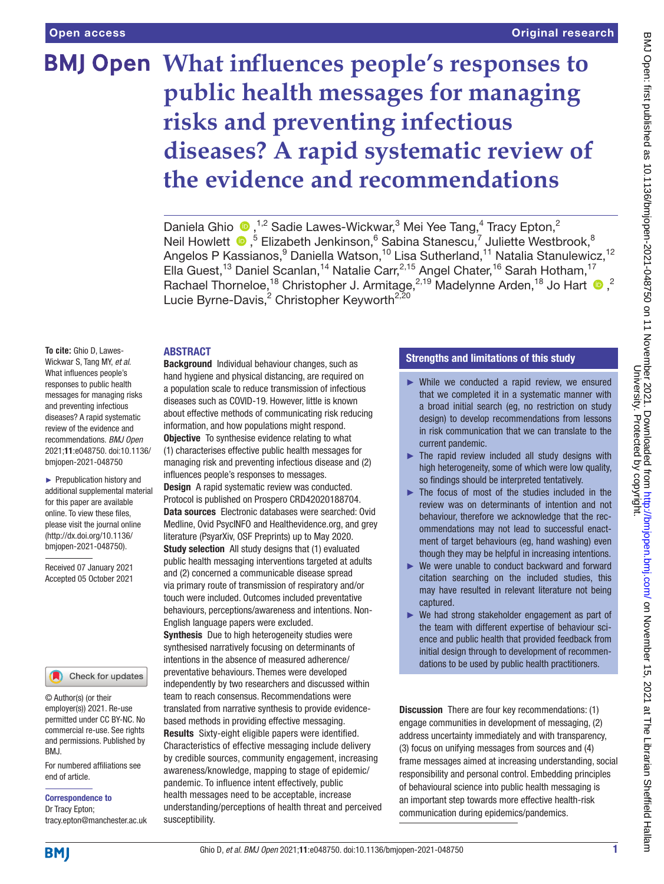# **What influences people's responses to public health messages for managing risks and preventing infectious diseases? A rapid systematic review of the evidence and recommendations**

Daniela Ghio  $\bullet$ ,<sup>1,2</sup> Sadie Lawes-Wickwar,<sup>3</sup> Mei Yee Tang,<sup>4</sup> Tracy Epton,<sup>2</sup> Neil Howlett <sup>®</sup>,<sup>5</sup> Elizabeth Jenkinson,<sup>6</sup> Sabina Stanescu,<sup>7</sup> Juliette Westbrook,<sup>8</sup> Angelos P Kassianos,<sup>9</sup> Daniella Watson,<sup>10</sup> Lisa Sutherland,<sup>11</sup> Natalia Stanulewicz,<sup>12</sup> Ella Guest,<sup>13</sup> Daniel Scanlan,<sup>14</sup> Natalie Carr,<sup>2,15</sup> Angel Chater,<sup>16</sup> Sarah Hotham,<sup>17</sup> Rachael Thorneloe,<sup>18</sup> Christopher J. Armitage,<sup>2,19</sup> Madelynne Arden,<sup>18</sup> Jo Hart <sup>10</sup>,<sup>2</sup> Lucie Byrne-Davis,<sup>2</sup> Christopher Keyworth<sup>2,20</sup>

#### **ARSTRACT**

**To cite:** Ghio D, Lawes-Wickwar S, Tang MY, *et al*. What influences people's responses to public health messages for managing risks and preventing infectious diseases? A rapid systematic review of the evidence and recommendations. *BMJ Open* 2021;11:e048750. doi:10.1136/ bmjopen-2021-048750

► Prepublication history and additional supplemental material for this paper are available online. To view these files, please visit the journal online [\(http://dx.doi.org/10.1136/](http://dx.doi.org/10.1136/bmjopen-2021-048750) [bmjopen-2021-048750](http://dx.doi.org/10.1136/bmjopen-2021-048750)).

Received 07 January 2021 Accepted 05 October 2021

#### Check for updates

© Author(s) (or their employer(s)) 2021. Re-use permitted under CC BY-NC. No commercial re-use. See rights and permissions. Published by BMJ.

For numbered affiliations see end of article.

Correspondence to

Dr Tracy Epton; tracy.epton@manchester.ac.uk

Background Individual behaviour changes, such as hand hygiene and physical distancing, are required on a population scale to reduce transmission of infectious diseases such as COVID-19. However, little is known about effective methods of communicating risk reducing information, and how populations might respond. **Objective** To synthesise evidence relating to what (1) characterises effective public health messages for

managing risk and preventing infectious disease and (2) influences people's responses to messages. Design A rapid systematic review was conducted. Protocol is published on Prospero CRD42020188704.

Data sources Electronic databases were searched: Ovid Medline, Ovid PsycINFO and Healthevidence.org, and grey literature (PsyarXiv, OSF Preprints) up to May 2020. Study selection All study designs that (1) evaluated public health messaging interventions targeted at adults and (2) concerned a communicable disease spread via primary route of transmission of respiratory and/or touch were included. Outcomes included preventative behaviours, perceptions/awareness and intentions. Non-English language papers were excluded.

Synthesis Due to high heterogeneity studies were synthesised narratively focusing on determinants of intentions in the absence of measured adherence/ preventative behaviours. Themes were developed independently by two researchers and discussed within team to reach consensus. Recommendations were translated from narrative synthesis to provide evidencebased methods in providing effective messaging. Results Sixty-eight eligible papers were identified. Characteristics of effective messaging include delivery by credible sources, community engagement, increasing awareness/knowledge, mapping to stage of epidemic/ pandemic. To influence intent effectively, public health messages need to be acceptable, increase understanding/perceptions of health threat and perceived susceptibility.

## Strengths and limitations of this study

- ► While we conducted a rapid review, we ensured that we completed it in a systematic manner with a broad initial search (eg, no restriction on study design) to develop recommendations from lessons in risk communication that we can translate to the current pandemic.
- $\blacktriangleright$  The rapid review included all study designs with high heterogeneity, some of which were low quality, so findings should be interpreted tentatively.
- $\blacktriangleright$  The focus of most of the studies included in the review was on determinants of intention and not behaviour, therefore we acknowledge that the recommendations may not lead to successful enactment of target behaviours (eg, hand washing) even though they may be helpful in increasing intentions.
- ► We were unable to conduct backward and forward citation searching on the included studies, this may have resulted in relevant literature not being captured.
- ► We had strong stakeholder engagement as part of the team with different expertise of behaviour science and public health that provided feedback from initial design through to development of recommendations to be used by public health practitioners.

Discussion There are four key recommendations: (1) engage communities in development of messaging, (2) address uncertainty immediately and with transparency, (3) focus on unifying messages from sources and (4) frame messages aimed at increasing understanding, social responsibility and personal control. Embedding principles of behavioural science into public health messaging is an important step towards more effective health-risk communication during epidemics/pandemics.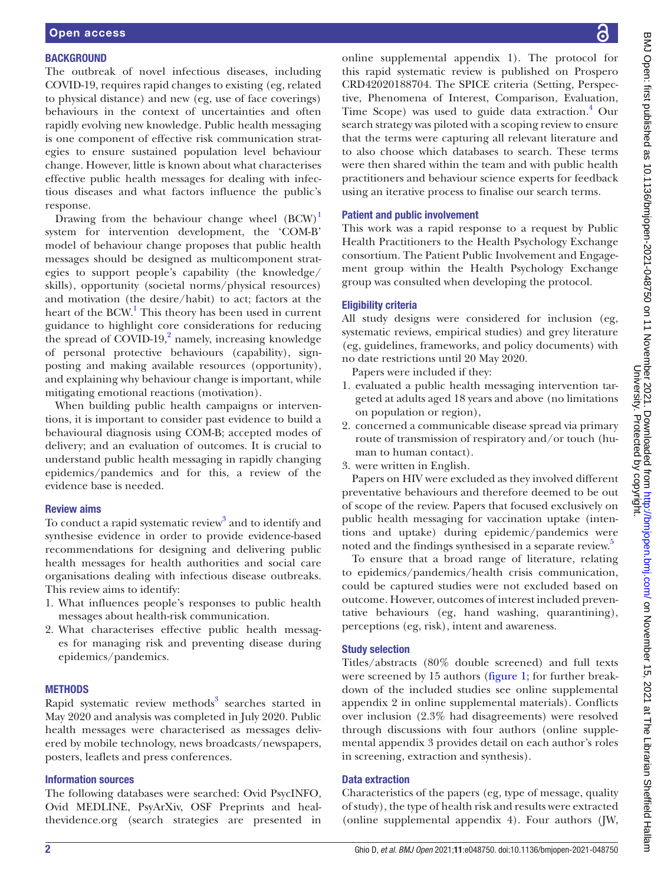#### **BACKGROUND**

The outbreak of novel infectious diseases, including COVID-19, requires rapid changes to existing (eg, related to physical distance) and new (eg, use of face coverings) behaviours in the context of uncertainties and often rapidly evolving new knowledge. Public health messaging is one component of effective risk communication strategies to ensure sustained population level behaviour change. However, little is known about what characterises effective public health messages for dealing with infectious diseases and what factors influence the public's response.

Drawing from the behaviour change wheel  $(BCW)^1$  $(BCW)^1$ system for intervention development, the 'COM-B' model of behaviour change proposes that public health messages should be designed as multicomponent strategies to support people's capability (the knowledge/ skills), opportunity (societal norms/physical resources) and motivation (the desire/habit) to act; factors at the heart of the BCW.<sup>[1](#page-11-0)</sup> This theory has been used in current guidance to highlight core considerations for reducing the spread of  $\text{COVID-19}$ , amely, increasing knowledge of personal protective behaviours (capability), signposting and making available resources (opportunity), and explaining why behaviour change is important, while mitigating emotional reactions (motivation).

When building public health campaigns or interventions, it is important to consider past evidence to build a behavioural diagnosis using COM-B; accepted modes of delivery; and an evaluation of outcomes. It is crucial to understand public health messaging in rapidly changing epidemics/pandemics and for this, a review of the evidence base is needed.

#### Review aims

To conduct a rapid systematic review<sup>3</sup> and to identify and synthesise evidence in order to provide evidence-based recommendations for designing and delivering public health messages for health authorities and social care organisations dealing with infectious disease outbreaks. This review aims to identify:

- 1. What influences people's responses to public health messages about health-risk communication.
- 2. What characterises effective public health messages for managing risk and preventing disease during epidemics/pandemics.

#### **METHODS**

Rapid systematic review methods<sup>[3](#page-11-2)</sup> searches started in May 2020 and analysis was completed in July 2020. Public health messages were characterised as messages delivered by mobile technology, news broadcasts/newspapers, posters, leaflets and press conferences.

#### Information sources

The following databases were searched: Ovid PsycINFO, Ovid MEDLINE, PsyArXiv, OSF Preprints and healthevidence.org (search strategies are presented in [online supplemental appendix 1](https://dx.doi.org/10.1136/bmjopen-2021-048750)). The protocol for this rapid systematic review is published on Prospero CRD42020188704. The SPICE criteria (Setting, Perspective, Phenomena of Interest, Comparison, Evaluation, Time Scope) was used to guide data extraction.<sup>[4](#page-11-3)</sup> Our search strategy was piloted with a scoping review to ensure that the terms were capturing all relevant literature and to also choose which databases to search. These terms were then shared within the team and with public health practitioners and behaviour science experts for feedback using an iterative process to finalise our search terms.

#### Patient and public involvement

This work was a rapid response to a request by Public Health Practitioners to the Health Psychology Exchange consortium. The Patient Public Involvement and Engagement group within the Health Psychology Exchange group was consulted when developing the protocol.

#### Eligibility criteria

All study designs were considered for inclusion (eg, systematic reviews, empirical studies) and grey literature (eg, guidelines, frameworks, and policy documents) with no date restrictions until 20 May 2020.

Papers were included if they:

- 1. evaluated a public health messaging intervention targeted at adults aged 18 years and above (no limitations on population or region),
- 2. concerned a communicable disease spread via primary route of transmission of respiratory and/or touch (human to human contact).
- 3. were written in English.

Papers on HIV were excluded as they involved different preventative behaviours and therefore deemed to be out of scope of the review. Papers that focused exclusively on public health messaging for vaccination uptake (intentions and uptake) during epidemic/pandemics were noted and the findings synthesised in a separate review.<sup>[5](#page-11-4)</sup>

To ensure that a broad range of literature, relating to epidemics/pandemics/health crisis communication, could be captured studies were not excluded based on outcome. However, outcomes of interest included preventative behaviours (eg, hand washing, quarantining), perceptions (eg, risk), intent and awareness.

#### Study selection

Titles/abstracts (80% double screened) and full texts were screened by 15 authors [\(figure](#page-4-0) 1; for further breakdown of the included studies see [online supplemental](https://dx.doi.org/10.1136/bmjopen-2021-048750)  [appendix 2](https://dx.doi.org/10.1136/bmjopen-2021-048750) in [online supplemental materials\)](https://dx.doi.org/10.1136/bmjopen-2021-048750). Conflicts over inclusion (2.3% had disagreements) were resolved through discussions with four authors [\(online supple](https://dx.doi.org/10.1136/bmjopen-2021-048750)[mental appendix 3](https://dx.doi.org/10.1136/bmjopen-2021-048750) provides detail on each author's roles in screening, extraction and synthesis).

#### Data extraction

Characteristics of the papers (eg, type of message, quality of study), the type of health risk and results were extracted [\(online supplemental appendix 4](https://dx.doi.org/10.1136/bmjopen-2021-048750)). Four authors (JW,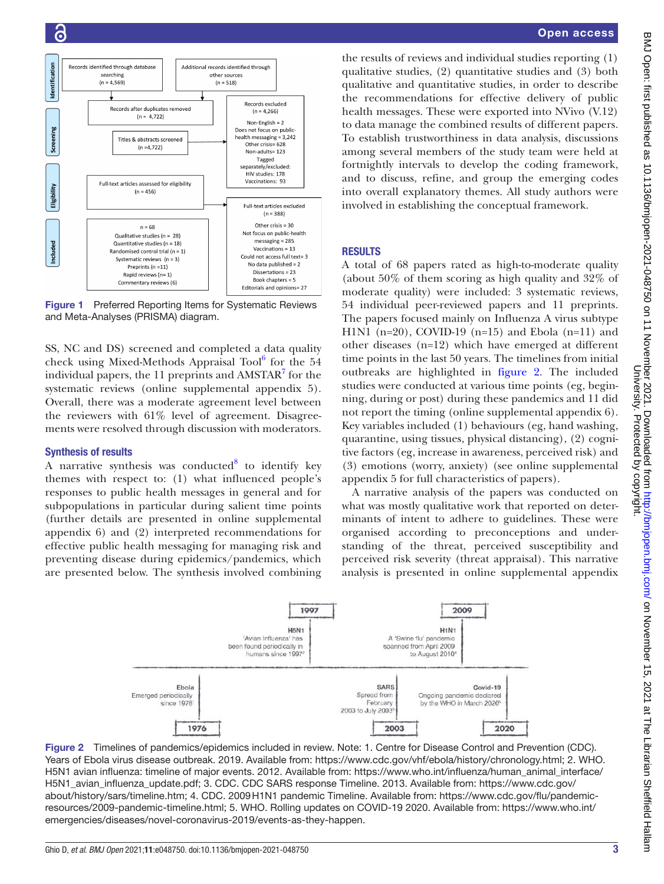

<span id="page-4-0"></span>Figure 1 Preferred Reporting Items for Systematic Reviews and Meta-Analyses (PRISMA) diagram.

SS, NC and DS) screened and completed a data quality check using Mixed-Methods Appraisal Tool<sup>[6](#page-11-5)</sup> for the 54 individual papers, the  $11$  preprints and AMSTAR $^7$  $^7$  for the systematic reviews ([online supplemental appendix 5](https://dx.doi.org/10.1136/bmjopen-2021-048750)). Overall, there was a moderate agreement level between the reviewers with  $61\%$  level of agreement. Disagreements were resolved through discussion with moderators.

#### Synthesis of results

A narrative synthesis was conducted $8$  to identify key themes with respect to: (1) what influenced people's responses to public health messages in general and for subpopulations in particular during salient time points (further details are presented in [online supplemental](https://dx.doi.org/10.1136/bmjopen-2021-048750) [appendix 6](https://dx.doi.org/10.1136/bmjopen-2021-048750)) and (2) interpreted recommendations for effective public health messaging for managing risk and preventing disease during epidemics/pandemics, which are presented below. The synthesis involved combining

the results of reviews and individual studies reporting (1) qualitative studies, (2) quantitative studies and (3) both qualitative and quantitative studies, in order to describe the recommendations for effective delivery of public health messages. These were exported into NVivo (V.12) to data manage the combined results of different papers. To establish trustworthiness in data analysis, discussions among several members of the study team were held at fortnightly intervals to develop the coding framework, and to discuss, refine, and group the emerging codes into overall explanatory themes. All study authors were involved in establishing the conceptual framework.

## **RESULTS**

A total of 68 papers rated as high-to-moderate quality (about 50% of them scoring as high quality and 32% of moderate quality) were included: 3 systematic reviews, 54 individual peer-reviewed papers and 11 preprints. The papers focused mainly on Influenza A virus subtype H1N1 (n=20), COVID-19 (n=15) and Ebola (n=11) and other diseases (n=12) which have emerged at different time points in the last 50 years. The timelines from initial outbreaks are highlighted in [figure](#page-4-1) 2. The included studies were conducted at various time points (eg, beginning, during or post) during these pandemics and 11 did not report the timing [\(online supplemental appendix 6\)](https://dx.doi.org/10.1136/bmjopen-2021-048750). Key variables included (1) behaviours (eg, hand washing, quarantine, using tissues, physical distancing), (2) cognitive factors (eg, increase in awareness, perceived risk) and (3) emotions (worry, anxiety) (see [online supplemental](https://dx.doi.org/10.1136/bmjopen-2021-048750)  [appendix 5](https://dx.doi.org/10.1136/bmjopen-2021-048750) for full characteristics of papers).

A narrative analysis of the papers was conducted on what was mostly qualitative work that reported on determinants of intent to adhere to guidelines. These were organised according to preconceptions and understanding of the threat, perceived susceptibility and perceived risk severity (threat appraisal). This narrative analysis is presented in [online supplemental appendix](https://dx.doi.org/10.1136/bmjopen-2021-048750) 

<span id="page-4-1"></span>

Figure 2 Timelines of pandemics/epidemics included in review. Note: 1. Centre for Disease Control and Prevention (CDC). Years of Ebola virus disease outbreak. 2019. Available from: <https://www.cdc.gov/vhf/ebola/history/chronology.html>; 2. WHO. H5N1 avian influenza: timeline of major events. 2012. Available from: [https://www.who.int/influenza/human\\_animal\\_interface/](https://www.who.int/influenza/human_animal_interface/H5N1_avian_influenza_update.pdf) [H5N1\\_avian\\_influenza\\_update.pdf;](https://www.who.int/influenza/human_animal_interface/H5N1_avian_influenza_update.pdf) 3. CDC. CDC SARS response Timeline. 2013. Available from: [https://www.cdc.gov/](https://www.cdc.gov/about/history/sars/timeline.htm) [about/history/sars/timeline.htm;](https://www.cdc.gov/about/history/sars/timeline.htm) 4. CDC. 2009H1N1 pandemic Timeline. Available from: [https://www.cdc.gov/flu/pandemic](https://www.cdc.gov/flu/pandemic-resources/2009-pandemic-timeline.html)[resources/2009-pandemic-timeline.html;](https://www.cdc.gov/flu/pandemic-resources/2009-pandemic-timeline.html) 5. WHO. Rolling updates on COVID-19 2020. Available from: [https://www.who.int/](https://www.who.int/emergencies/diseases/novel-coronavirus-2019/events-as-they-happen) [emergencies/diseases/novel-coronavirus-2019/events-as-they-happen](https://www.who.int/emergencies/diseases/novel-coronavirus-2019/events-as-they-happen).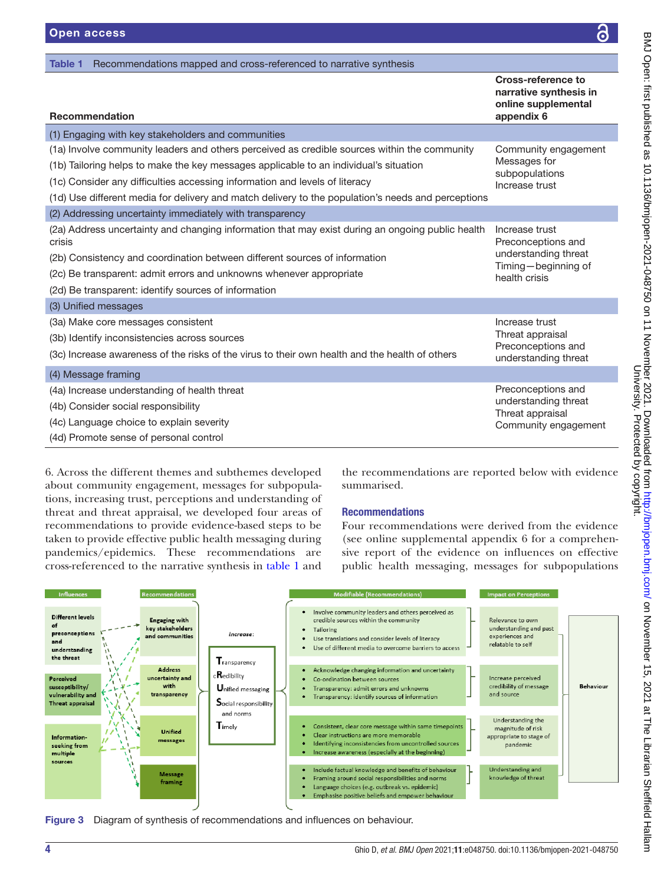<span id="page-5-0"></span>

| <b>Recommendation</b>                                                                                                                                                                                                                                                                                                                                                      | <b>Cross-reference to</b><br>narrative synthesis in<br>online supplemental<br>appendix 6             |
|----------------------------------------------------------------------------------------------------------------------------------------------------------------------------------------------------------------------------------------------------------------------------------------------------------------------------------------------------------------------------|------------------------------------------------------------------------------------------------------|
| (1) Engaging with key stakeholders and communities                                                                                                                                                                                                                                                                                                                         |                                                                                                      |
| (1a) Involve community leaders and others perceived as credible sources within the community<br>(1b) Tailoring helps to make the key messages applicable to an individual's situation<br>(1c) Consider any difficulties accessing information and levels of literacy<br>(1d) Use different media for delivery and match delivery to the population's needs and perceptions | Community engagement<br>Messages for<br>subpopulations<br>Increase trust                             |
| (2) Addressing uncertainty immediately with transparency                                                                                                                                                                                                                                                                                                                   |                                                                                                      |
| (2a) Address uncertainty and changing information that may exist during an ongoing public health<br>crisis<br>(2b) Consistency and coordination between different sources of information<br>(2c) Be transparent: admit errors and unknowns whenever appropriate<br>(2d) Be transparent: identify sources of information                                                    | Increase trust<br>Preconceptions and<br>understanding threat<br>Timing-beginning of<br>health crisis |
| (3) Unified messages                                                                                                                                                                                                                                                                                                                                                       |                                                                                                      |
| (3a) Make core messages consistent<br>(3b) Identify inconsistencies across sources<br>(3c) Increase awareness of the risks of the virus to their own health and the health of others                                                                                                                                                                                       | Increase trust<br>Threat appraisal<br>Preconceptions and<br>understanding threat                     |
| (4) Message framing                                                                                                                                                                                                                                                                                                                                                        |                                                                                                      |
| (4a) Increase understanding of health threat<br>(4b) Consider social responsibility<br>(4c) Language choice to explain severity<br>(4d) Promote sense of personal control                                                                                                                                                                                                  | Preconceptions and<br>understanding threat<br>Threat appraisal<br>Community engagement               |

Table 1 Recommendations mapped and cross-referenced to narrative synthesis

[6.](https://dx.doi.org/10.1136/bmjopen-2021-048750) Across the different themes and subthemes developed about community engagement, messages for subpopulations, increasing trust, perceptions and understanding of threat and threat appraisal, we developed four areas of recommendations to provide evidence-based steps to be taken to provide effective public health messaging during pandemics/epidemics. These recommendations are cross-referenced to the narrative synthesis in [table](#page-5-0) 1 and

the recommendations are reported below with evidence summarised.

## Recommendations

Four recommendations were derived from the evidence (see [online supplemental appendix 6](https://dx.doi.org/10.1136/bmjopen-2021-048750) for a comprehensive report of the evidence on influences on effective public health messaging, messages for subpopulations



<span id="page-5-1"></span>Figure 3 Diagram of synthesis of recommendations and influences on behaviour.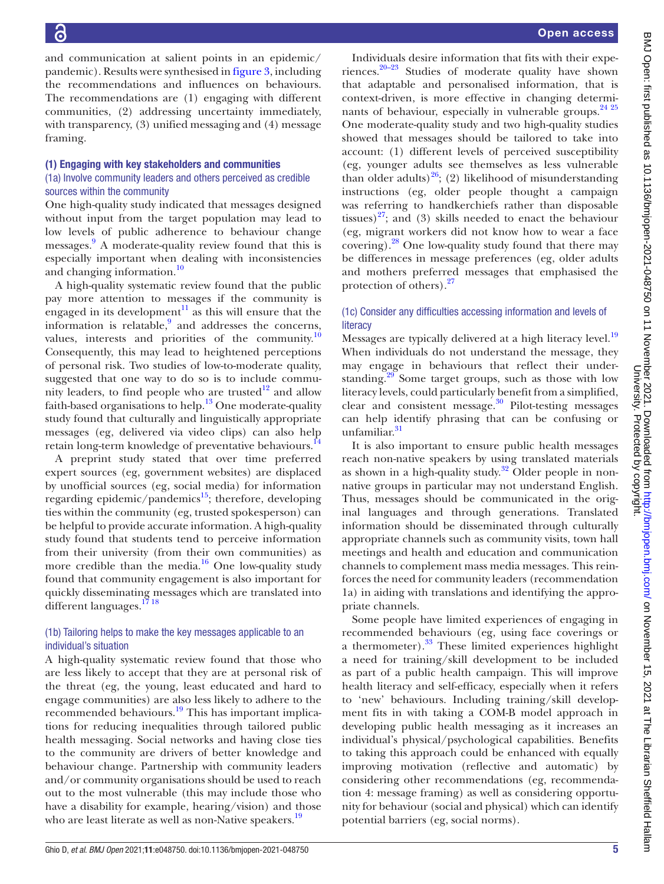and communication at salient points in an epidemic/ pandemic). Results were synthesised in [figure](#page-5-1) 3, including the recommendations and influences on behaviours. The recommendations are (1) engaging with different communities, (2) addressing uncertainty immediately, with transparency, (3) unified messaging and (4) message framing.

#### (1) Engaging with key stakeholders and communities

### (1a) Involve community leaders and others perceived as credible sources within the community

One high-quality study indicated that messages designed without input from the target population may lead to low levels of public adherence to behaviour change messages.<sup>[9](#page-11-8)</sup> A moderate-quality review found that this is especially important when dealing with inconsistencies and changing information.<sup>[10](#page-11-9)</sup>

A high-quality systematic review found that the public pay more attention to messages if the community is engaged in its development<sup>[11](#page-11-10)</sup> as this will ensure that the information is relatable,<sup>[9](#page-11-8)</sup> and addresses the concerns, values, interests and priorities of the community. $\frac{10}{10}$ Consequently, this may lead to heightened perceptions of personal risk. Two studies of low-to-moderate quality, suggested that one way to do so is to include community leaders, to find people who are trusted $12$  and allow faith-based organisations to help.<sup>13</sup> One moderate-quality study found that culturally and linguistically appropriate messages (eg, delivered via video clips) can also help retain long-term knowledge of preventative behaviours.<sup>14</sup>

A preprint study stated that over time preferred expert sources (eg, government websites) are displaced by unofficial sources (eg, social media) for information regarding epidemic/pandemics $15$ ; therefore, developing ties within the community (eg, trusted spokesperson) can be helpful to provide accurate information. A high-quality study found that students tend to perceive information from their university (from their own communities) as more credible than the media. $16$  One low-quality study found that community engagement is also important for quickly disseminating messages which are translated into different languages.<sup>17</sup><sup>18</sup>

## (1b) Tailoring helps to make the key messages applicable to an individual's situation

A high-quality systematic review found that those who are less likely to accept that they are at personal risk of the threat (eg, the young, least educated and hard to engage communities) are also less likely to adhere to the recommended behaviours.<sup>19</sup> This has important implications for reducing inequalities through tailored public health messaging. Social networks and having close ties to the community are drivers of better knowledge and behaviour change. Partnership with community leaders and/or community organisations should be used to reach out to the most vulnerable (this may include those who have a disability for example, hearing/vision) and those who are least literate as well as non-Native speakers.<sup>19</sup>

Individuals desire information that fits with their experiences. $20-23$  Studies of moderate quality have shown that adaptable and personalised information, that is context-driven, is more effective in changing determi-nants of behaviour, especially in vulnerable groups.<sup>[24 25](#page-11-19)</sup> One moderate-quality study and two high-quality studies showed that messages should be tailored to take into account: (1) different levels of perceived susceptibility (eg, younger adults see themselves as less vulnerable than older adults)<sup>26</sup>; (2) likelihood of misunderstanding instructions (eg, older people thought a campaign was referring to handkerchiefs rather than disposable tissues) $27$ ; and (3) skills needed to enact the behaviour (eg, migrant workers did not know how to wear a face covering). $^{28}$  One low-quality study found that there may be differences in message preferences (eg, older adults and mothers preferred messages that emphasised the protection of others).<sup>27</sup>

## (1c) Consider any difficulties accessing information and levels of **literacy**

Messages are typically delivered at a high literacy level.<sup>[19](#page-11-17)</sup> When individuals do not understand the message, they may engage in behaviours that reflect their understanding.<sup>29</sup> Some target groups, such as those with low literacy levels, could particularly benefit from a simplified, clear and consistent message.<sup>30</sup> Pilot-testing messages can help identify phrasing that can be confusing or unfamiliar. [31](#page-11-25)

It is also important to ensure public health messages reach non-native speakers by using translated materials as shown in a high-quality study.<sup>32</sup> Older people in nonnative groups in particular may not understand English. Thus, messages should be communicated in the original languages and through generations. Translated information should be disseminated through culturally appropriate channels such as community visits, town hall meetings and health and education and communication channels to complement mass media messages. This reinforces the need for community leaders (recommendation 1a) in aiding with translations and identifying the appropriate channels.

Some people have limited experiences of engaging in recommended behaviours (eg, using face coverings or a thermometer).<sup>33</sup> These limited experiences highlight a need for training/skill development to be included as part of a public health campaign. This will improve health literacy and self-efficacy, especially when it refers to 'new' behaviours. Including training/skill development fits in with taking a COM-B model approach in developing public health messaging as it increases an individual's physical/psychological capabilities. Benefits to taking this approach could be enhanced with equally improving motivation (reflective and automatic) by considering other recommendations (eg, recommendation 4: message framing) as well as considering opportunity for behaviour (social and physical) which can identify potential barriers (eg, social norms).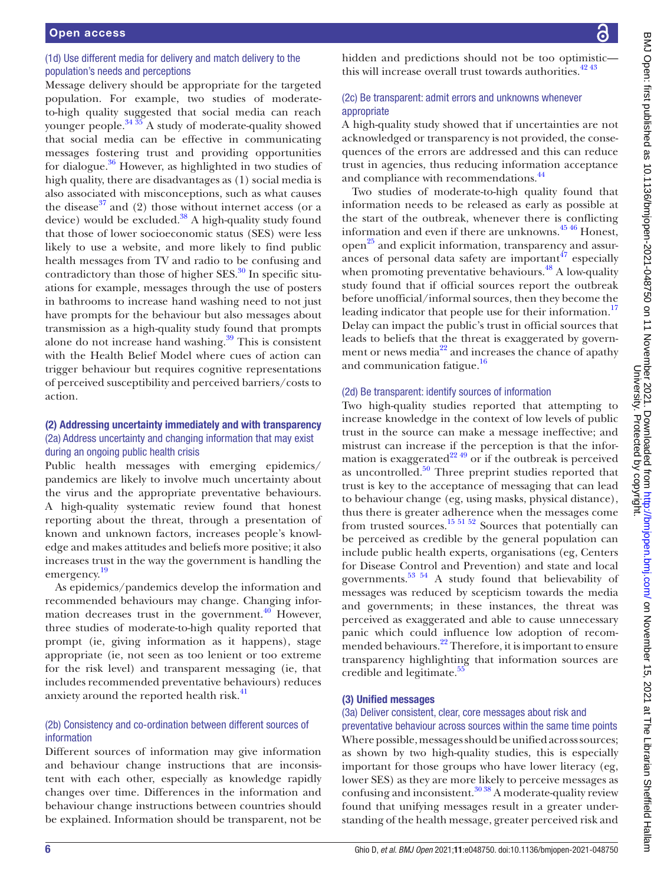## (1d) Use different media for delivery and match delivery to the population's needs and perceptions

Message delivery should be appropriate for the targeted population. For example, two studies of moderateto-high quality suggested that social media can reach younger people. $34\frac{35}{26}$  A study of moderate-quality showed that social media can be effective in communicating messages fostering trust and providing opportunities for dialogue. $36$  However, as highlighted in two studies of high quality, there are disadvantages as (1) social media is also associated with misconceptions, such as what causes the disease<sup>[37](#page-11-30)</sup> and (2) those without internet access (or a device) would be excluded. $38$  A high-quality study found that those of lower socioeconomic status (SES) were less likely to use a website, and more likely to find public health messages from TV and radio to be confusing and contradictory than those of higher  $SES$ <sup>30</sup> In specific situations for example, messages through the use of posters in bathrooms to increase hand washing need to not just have prompts for the behaviour but also messages about transmission as a high-quality study found that prompts alone do not increase hand washing.<sup>39</sup> This is consistent with the Health Belief Model where cues of action can trigger behaviour but requires cognitive representations of perceived susceptibility and perceived barriers/costs to action.

## (2) Addressing uncertainty immediately and with transparency (2a) Address uncertainty and changing information that may exist during an ongoing public health crisis

Public health messages with emerging epidemics/ pandemics are likely to involve much uncertainty about the virus and the appropriate preventative behaviours. A high-quality systematic review found that honest reporting about the threat, through a presentation of known and unknown factors, increases people's knowledge and makes attitudes and beliefs more positive; it also increases trust in the way the government is handling the emergency. [19](#page-11-17)

As epidemics/pandemics develop the information and recommended behaviours may change. Changing information decreases trust in the government. $40$  However, three studies of moderate-to-high quality reported that prompt (ie, giving information as it happens), stage appropriate (ie, not seen as too lenient or too extreme for the risk level) and transparent messaging (ie, that includes recommended preventative behaviours) reduces anxiety around the reported health risk.<sup>41</sup>

## (2b) Consistency and co-ordination between different sources of information

Different sources of information may give information and behaviour change instructions that are inconsistent with each other, especially as knowledge rapidly changes over time. Differences in the information and behaviour change instructions between countries should be explained. Information should be transparent, not be

hidden and predictions should not be too optimistic this will increase overall trust towards authorities.  $42^{43}$ 

## (2c) Be transparent: admit errors and unknowns whenever appropriate

A high-quality study showed that if uncertainties are not acknowledged or transparency is not provided, the consequences of the errors are addressed and this can reduce trust in agencies, thus reducing information acceptance and compliance with recommendations.<sup>44</sup>

Two studies of moderate-to-high quality found that information needs to be released as early as possible at the start of the outbreak, whenever there is conflicting information and even if there are unknowns.<sup>4546</sup> Honest, open<sup>[25](#page-11-38)</sup> and explicit information, transparency and assurances of personal data safety are important  $47$  especially when promoting preventative behaviours. $^{48}$  A low-quality study found that if official sources report the outbreak before unofficial/informal sources, then they become the leading indicator that people use for their information.<sup>[17](#page-11-16)</sup> Delay can impact the public's trust in official sources that leads to beliefs that the threat is exaggerated by government or news media $^{22}$  $^{22}$  $^{22}$  and increases the chance of apathy and communication fatigue.<sup>16</sup>

## (2d) Be transparent: identify sources of information

Two high-quality studies reported that attempting to increase knowledge in the context of low levels of public trust in the source can make a message ineffective; and mistrust can increase if the perception is that the information is exaggerated<sup>22 49</sup> or if the outbreak is perceived as uncontrolled. $50$  Three preprint studies reported that trust is key to the acceptance of messaging that can lead to behaviour change (eg, using masks, physical distance), thus there is greater adherence when the messages come from trusted sources.<sup>15 51 52</sup> Sources that potentially can be perceived as credible by the general population can include public health experts, organisations (eg, Centers for Disease Control and Prevention) and state and local governments. $53 \times 54$  A study found that believability of messages was reduced by scepticism towards the media and governments; in these instances, the threat was perceived as exaggerated and able to cause unnecessary panic which could influence low adoption of recommended behaviours.<sup>22</sup> Therefore, it is important to ensure transparency highlighting that information sources are credible and legitimate.<sup>55</sup>

## (3) Unified messages

## (3a) Deliver consistent, clear, core messages about risk and

preventative behaviour across sources within the same time points Where possible, messages should be unified across sources; as shown by two high-quality studies, this is especially important for those groups who have lower literacy (eg, lower SES) as they are more likely to perceive messages as confusing and inconsistent.[30 38](#page-11-24) A moderate-quality review found that unifying messages result in a greater understanding of the health message, greater perceived risk and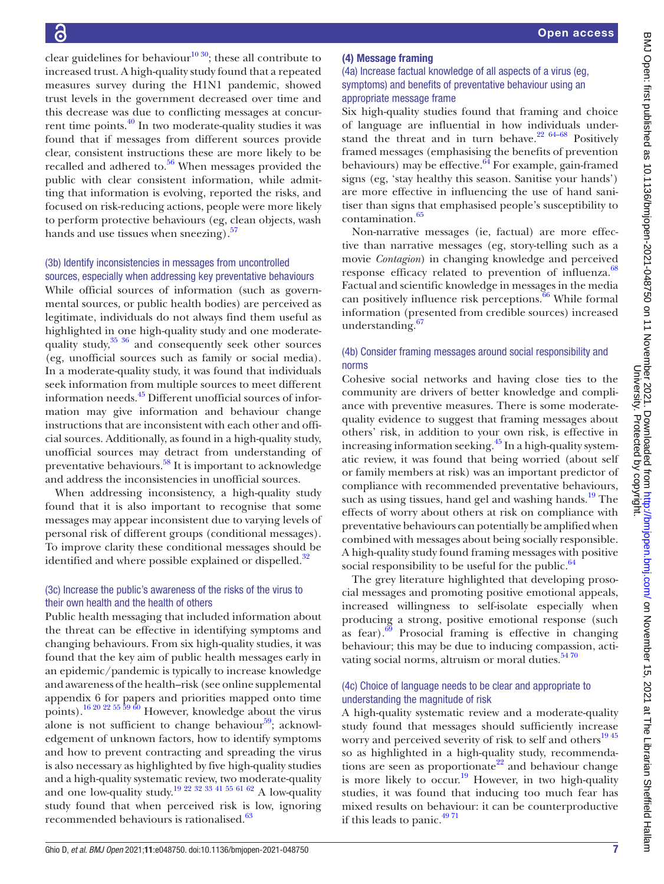clear guidelines for behaviour<sup>10 30</sup>; these all contribute to increased trust. A high-quality study found that a repeated measures survey during the H1N1 pandemic, showed trust levels in the government decreased over time and this decrease was due to conflicting messages at concurrent time points[.40](#page-11-33) In two moderate-quality studies it was found that if messages from different sources provide clear, consistent instructions these are more likely to be recalled and adhered to. $56$  When messages provided the public with clear consistent information, while admitting that information is evolving, reported the risks, and focused on risk-reducing actions, people were more likely to perform protective behaviours (eg, clean objects, wash hands and use tissues when sneezing).<sup>57</sup>

## (3b) Identify inconsistencies in messages from uncontrolled sources, especially when addressing key preventative behaviours

While official sources of information (such as governmental sources, or public health bodies) are perceived as legitimate, individuals do not always find them useful as highlighted in one high-quality study and one moderatequality study,<sup>35 36</sup> and consequently seek other sources (eg, unofficial sources such as family or social media). In a moderate-quality study, it was found that individuals seek information from multiple sources to meet different information needs.[45](#page-11-37) Different unofficial sources of information may give information and behaviour change instructions that are inconsistent with each other and official sources. Additionally, as found in a high-quality study, unofficial sources may detract from understanding of preventative behaviours.<sup>58</sup> It is important to acknowledge and address the inconsistencies in unofficial sources.

When addressing inconsistency, a high-quality study found that it is also important to recognise that some messages may appear inconsistent due to varying levels of personal risk of different groups (conditional messages). To improve clarity these conditional messages should be identified and where possible explained or dispelled.<sup>32</sup>

## (3c) Increase the public's awareness of the risks of the virus to their own health and the health of others

Public health messaging that included information about the threat can be effective in identifying symptoms and changing behaviours. From six high-quality studies, it was found that the key aim of public health messages early in an epidemic/pandemic is typically to increase knowledge and awareness of the health–risk (see [online supplemental](https://dx.doi.org/10.1136/bmjopen-2021-048750) [appendix 6](https://dx.doi.org/10.1136/bmjopen-2021-048750) for papers and priorities mapped onto time points).<sup>16 20 22 55 59 60</sup> However, knowledge about the virus alone is not sufficient to change behaviour $59$ ; acknowledgement of unknown factors, how to identify symptoms and how to prevent contracting and spreading the virus is also necessary as highlighted by five high-quality studies and a high-quality systematic review, two moderate-quality and one low-quality study.<sup>19 22 32 33 41 55 61 62</sup> A low-quality study found that when perceived risk is low, ignoring recommended behaviours is rationalised.<sup>[63](#page-12-9)</sup>

## (4) Message framing

## (4a) Increase factual knowledge of all aspects of a virus (eg, symptoms) and benefits of preventative behaviour using an appropriate message frame

Six high-quality studies found that framing and choice of language are influential in how individuals understand the threat and in turn behave. $2264-68$  Positively framed messages (emphasising the benefits of prevention behaviours) may be effective. $64$  For example, gain-framed signs (eg, 'stay healthy this season. Sanitise your hands') are more effective in influencing the use of hand sanitiser than signs that emphasised people's susceptibility to contamination.<sup>65</sup>

Non-narrative messages (ie, factual) are more effective than narrative messages (eg, story-telling such as a movie *Contagion*) in changing knowledge and perceived response efficacy related to prevention of influenza.<sup>[68](#page-12-12)</sup> Factual and scientific knowledge in messages in the media can positively influence risk perceptions. $\overline{66}$  $\overline{66}$  $\overline{66}$  While formal information (presented from credible sources) increased understanding.<sup>[67](#page-12-14)</sup>

## (4b) Consider framing messages around social responsibility and norms

Cohesive social networks and having close ties to the community are drivers of better knowledge and compliance with preventive measures. There is some moderatequality evidence to suggest that framing messages about others' risk, in addition to your own risk, is effective in increasing information seeking.<sup>[45](#page-11-37)</sup> In a high-quality systematic review, it was found that being worried (about self or family members at risk) was an important predictor of compliance with recommended preventative behaviours, such as using tissues, hand gel and washing hands.<sup>[19](#page-11-17)</sup> The effects of worry about others at risk on compliance with preventative behaviours can potentially be amplified when combined with messages about being socially responsible. A high-quality study found framing messages with positive social responsibility to be useful for the public. $64$ 

The grey literature highlighted that developing prosocial messages and promoting positive emotional appeals, increased willingness to self-isolate especially when producing a strong, positive emotional response (such as fear). $69$  Prosocial framing is effective in changing behaviour; this may be due to inducing compassion, activating social norms, altruism or moral duties.<sup>5470</sup>

### (4c) Choice of language needs to be clear and appropriate to understanding the magnitude of risk

A high-quality systematic review and a moderate-quality study found that messages should sufficiently increase worry and perceived severity of risk to self and others<sup>1945</sup> so as highlighted in a high-quality study, recommenda-tions are seen as proportionate<sup>[22](#page-11-39)</sup> and behaviour change is more likely to  $\text{occur.}^{19}$  However, in two high-quality studies, it was found that inducing too much fear has mixed results on behaviour: it can be counterproductive if this leads to panic.<sup>4971</sup>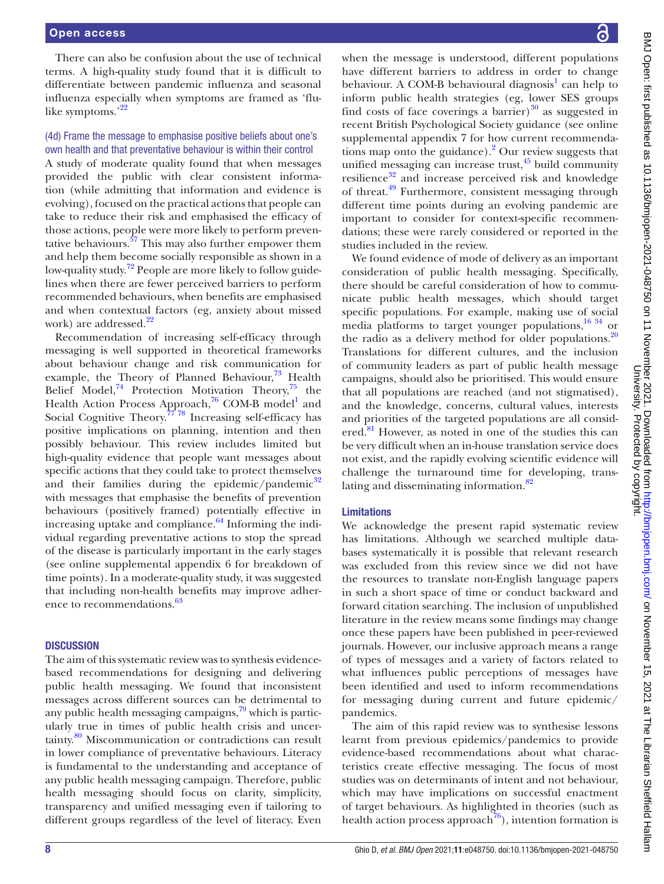There can also be confusion about the use of technical terms. A high-quality study found that it is difficult to differentiate between pandemic influenza and seasonal influenza especially when symptoms are framed as 'flu-like symptoms.'<sup>[22](#page-11-39)</sup>

## (4d) Frame the message to emphasise positive beliefs about one's own health and that preventative behaviour is within their control

A study of moderate quality found that when messages provided the public with clear consistent information (while admitting that information and evidence is evolving), focused on the practical actions that people can take to reduce their risk and emphasised the efficacy of those actions, people were more likely to perform preventative behaviours. $57$  This may also further empower them and help them become socially responsible as shown in a low-quality study.<sup>72</sup> People are more likely to follow guidelines when there are fewer perceived barriers to perform recommended behaviours, when benefits are emphasised and when contextual factors (eg, anxiety about missed work) are addressed.<sup>22</sup>

Recommendation of increasing self-efficacy through messaging is well supported in theoretical frameworks about behaviour change and risk communication for example, the Theory of Planned Behaviour, $^{73}$  Health Belief Model,<sup>74</sup> Protection Motivation Theory,<sup>75</sup> the Health Action Process Approach,<sup>76</sup> COM-B model<sup>1</sup> and Social Cognitive Theory.<sup> $77\overline{78}$ </sup> Increasing self-efficacy has positive implications on planning, intention and then possibly behaviour. This review includes limited but high-quality evidence that people want messages about specific actions that they could take to protect themselves and their families during the epidemic/pandemic $32$ with messages that emphasise the benefits of prevention behaviours (positively framed) potentially effective in increasing uptake and compliance. $64$  Informing the individual regarding preventative actions to stop the spread of the disease is particularly important in the early stages (see [online supplemental appendix 6](https://dx.doi.org/10.1136/bmjopen-2021-048750) for breakdown of time points). In a moderate-quality study, it was suggested that including non-health benefits may improve adher-ence to recommendations.<sup>[63](#page-12-9)</sup>

#### **DISCUSSION**

The aim of this systematic review was to synthesis evidencebased recommendations for designing and delivering public health messaging. We found that inconsistent messages across different sources can be detrimental to any public health messaging campaigns, $79$  which is particularly true in times of public health crisis and uncertainty.[80](#page-12-25) Miscommunication or contradictions can result in lower compliance of preventative behaviours. Literacy is fundamental to the understanding and acceptance of any public health messaging campaign. Therefore, public health messaging should focus on clarity, simplicity, transparency and unified messaging even if tailoring to different groups regardless of the level of literacy. Even

when the message is understood, different populations have different barriers to address in order to change behaviour. A COM-B behavioural diagnosis<sup>1</sup> can help to inform public health strategies (eg, lower SES groups find costs of face coverings a barrier) $30$  as suggested in recent British Psychological Society guidance (see [online](https://dx.doi.org/10.1136/bmjopen-2021-048750)  [supplemental appendix 7](https://dx.doi.org/10.1136/bmjopen-2021-048750) for how current recommendations map onto the guidance).<sup>2</sup> Our review suggests that unified messaging can increase trust, $45$  build community resilience $32$  and increase perceived risk and knowledge of threat[.49](#page-12-17) Furthermore, consistent messaging through different time points during an evolving pandemic are important to consider for context-specific recommendations; these were rarely considered or reported in the studies included in the review.

We found evidence of mode of delivery as an important consideration of public health messaging. Specifically, there should be careful consideration of how to communicate public health messages, which should target specific populations. For example, making use of social media platforms to target younger populations,<sup>[16 34](#page-11-15)</sup> or the radio as a delivery method for older populations. $20$ Translations for different cultures, and the inclusion of community leaders as part of public health message campaigns, should also be prioritised. This would ensure that all populations are reached (and not stigmatised), and the knowledge, concerns, cultural values, interests and priorities of the targeted populations are all consid-ered.<sup>[81](#page-12-26)</sup> However, as noted in one of the studies this can be very difficult when an in-house translation service does not exist, and the rapidly evolving scientific evidence will challenge the turnaround time for developing, translating and disseminating information.<sup>82</sup>

#### Limitations

We acknowledge the present rapid systematic review has limitations. Although we searched multiple databases systematically it is possible that relevant research was excluded from this review since we did not have the resources to translate non-English language papers in such a short space of time or conduct backward and forward citation searching. The inclusion of unpublished literature in the review means some findings may change once these papers have been published in peer-reviewed journals. However, our inclusive approach means a range of types of messages and a variety of factors related to what influences public perceptions of messages have been identified and used to inform recommendations for messaging during current and future epidemic/ pandemics.

The aim of this rapid review was to synthesise lessons learnt from previous epidemics/pandemics to provide evidence-based recommendations about what characteristics create effective messaging. The focus of most studies was on determinants of intent and not behaviour, which may have implications on successful enactment of target behaviours. As highlighted in theories (such as health action process approach<sup>76</sup>), intention formation is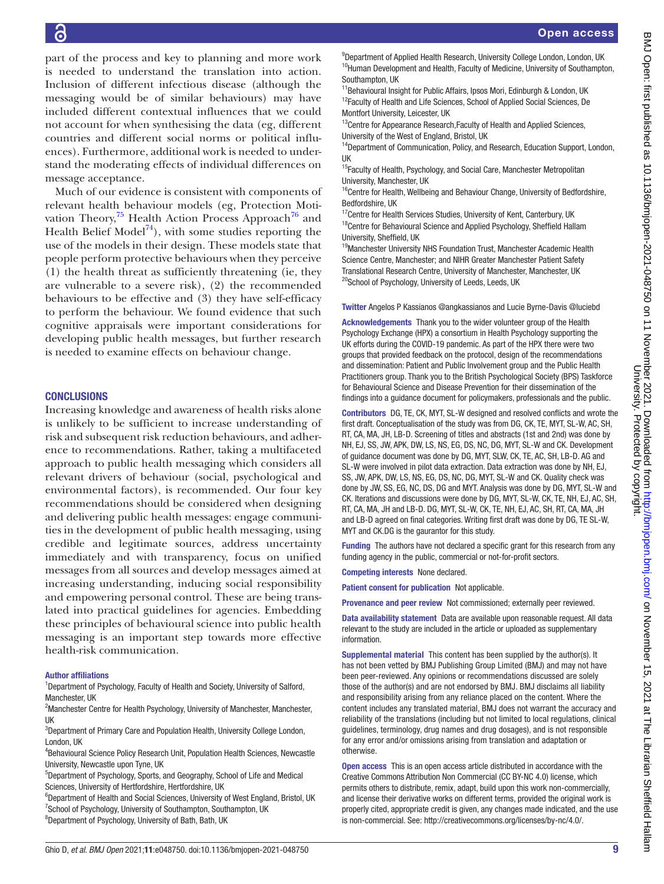part of the process and key to planning and more work is needed to understand the translation into action. Inclusion of different infectious disease (although the messaging would be of similar behaviours) may have included different contextual influences that we could not account for when synthesising the data (eg, different countries and different social norms or political influences). Furthermore, additional work is needed to understand the moderating effects of individual differences on message acceptance.

Much of our evidence is consistent with components of relevant health behaviour models (eg, Protection Motivation Theory, $^{75}$  $^{75}$  $^{75}$  Health Action Process Approach<sup>76</sup> and Health Belief Model<sup>[74](#page-12-20)</sup>), with some studies reporting the use of the models in their design. These models state that people perform protective behaviours when they perceive (1) the health threat as sufficiently threatening (ie, they are vulnerable to a severe risk), (2) the recommended behaviours to be effective and (3) they have self-efficacy to perform the behaviour. We found evidence that such cognitive appraisals were important considerations for developing public health messages, but further research is needed to examine effects on behaviour change.

#### **CONCLUSIONS**

Increasing knowledge and awareness of health risks alone is unlikely to be sufficient to increase understanding of risk and subsequent risk reduction behaviours, and adherence to recommendations. Rather, taking a multifaceted approach to public health messaging which considers all relevant drivers of behaviour (social, psychological and environmental factors), is recommended. Our four key recommendations should be considered when designing and delivering public health messages: engage communities in the development of public health messaging, using credible and legitimate sources, address uncertainty immediately and with transparency, focus on unified messages from all sources and develop messages aimed at increasing understanding, inducing social responsibility and empowering personal control. These are being translated into practical guidelines for agencies. Embedding these principles of behavioural science into public health messaging is an important step towards more effective health-risk communication.

#### Author affiliations

<sup>1</sup>Department of Psychology, Faculty of Health and Society, University of Salford, Manchester, UK

<sup>2</sup> Manchester Centre for Health Psychology, University of Manchester, Manchester, UK

<sup>3</sup>Department of Primary Care and Population Health, University College London, London, UK

4 Behavioural Science Policy Research Unit, Population Health Sciences, Newcastle University, Newcastle upon Tyne, UK

5 Department of Psychology, Sports, and Geography, School of Life and Medical Sciences, University of Hertfordshire, Hertfordshire, UK

<sup>6</sup>Department of Health and Social Sciences, University of West England, Bristol, UK <sup>7</sup>School of Psychology, University of Southampton, Southampton, UK <sup>8</sup>Department of Psychology, University of Bath, Bath, UK

<sup>9</sup>Department of Applied Health Research, University College London, London, UK <sup>10</sup>Human Development and Health, Faculty of Medicine, University of Southampton, Southampton, UK

<sup>11</sup>Behavioural Insight for Public Affairs, Ipsos Mori, Edinburgh & London, UK <sup>12</sup>Faculty of Health and Life Sciences, School of Applied Social Sciences, De Montfort University, Leicester, UK

<sup>13</sup>Centre for Appearance Research, Faculty of Health and Applied Sciences, University of the West of England, Bristol, UK

<sup>14</sup>Department of Communication, Policy, and Research, Education Support, London, UK

<sup>15</sup>Faculty of Health, Psychology, and Social Care, Manchester Metropolitan University, Manchester, UK

<sup>16</sup>Centre for Health, Wellbeing and Behaviour Change, University of Bedfordshire, Bedfordshire, UK

<sup>17</sup>Centre for Health Services Studies, University of Kent, Canterbury, UK  $18$ Centre for Behavioural Science and Applied Psychology, Sheffield Hallam University, Sheffield, UK

<sup>19</sup>Manchester University NHS Foundation Trust, Manchester Academic Health Science Centre, Manchester; and NIHR Greater Manchester Patient Safety Translational Research Centre, University of Manchester, Manchester, UK <sup>20</sup>School of Psychology, University of Leeds, Leeds, UK

Twitter Angelos P Kassianos [@angkassianos](https://twitter.com/angkassianos) and Lucie Byrne-Davis [@luciebd](https://twitter.com/luciebd)

Acknowledgements Thank you to the wider volunteer group of the Health Psychology Exchange (HPX) a consortium in Health Psychology supporting the UK efforts during the COVID-19 pandemic. As part of the HPX there were two groups that provided feedback on the protocol, design of the recommendations and dissemination: Patient and Public Involvement group and the Public Health Practitioners group. Thank you to the British Psychological Society (BPS) Taskforce for Behavioural Science and Disease Prevention for their dissemination of the findings into a guidance document for policymakers, professionals and the public.

Contributors DG, TE, CK, MYT, SL-W designed and resolved conflicts and wrote the first draft. Conceptualisation of the study was from DG, CK, TE, MYT, SL-W, AC, SH, RT, CA, MA, JH, LB-D. Screening of titles and abstracts (1st and 2nd) was done by NH, EJ, SS, JW, APK, DW, LS, NS, EG, DS, NC, DG, MYT, SL-W and CK. Development of guidance document was done by DG, MYT, SLW, CK, TE, AC, SH, LB-D. AG and SL-W were involved in pilot data extraction. Data extraction was done by NH, EJ, SS, JW, APK, DW, LS, NS, EG, DS, NC, DG, MYT, SL-W and CK. Quality check was done by JW, SS, EG, NC, DS, DG and MYT. Analysis was done by DG, MYT, SL-W and CK. Iterations and discussions were done by DG, MYT, SL-W, CK, TE, NH, EJ, AC, SH, RT, CA, MA, JH and LB-D. DG, MYT, SL-W, CK, TE, NH, EJ, AC, SH, RT, CA, MA, JH and LB-D agreed on final categories. Writing first draft was done by DG, TE SL-W, MYT and CK.DG is the gaurantor for this study.

Funding The authors have not declared a specific grant for this research from any funding agency in the public, commercial or not-for-profit sectors.

Competing interests None declared.

Patient consent for publication Not applicable.

Provenance and peer review Not commissioned; externally peer reviewed.

Data availability statement Data are available upon reasonable request. All data relevant to the study are included in the article or uploaded as supplementary information.

Supplemental material This content has been supplied by the author(s). It has not been vetted by BMJ Publishing Group Limited (BMJ) and may not have been peer-reviewed. Any opinions or recommendations discussed are solely those of the author(s) and are not endorsed by BMJ. BMJ disclaims all liability and responsibility arising from any reliance placed on the content. Where the content includes any translated material, BMJ does not warrant the accuracy and reliability of the translations (including but not limited to local regulations, clinical guidelines, terminology, drug names and drug dosages), and is not responsible for any error and/or omissions arising from translation and adaptation or otherwise.

Open access This is an open access article distributed in accordance with the Creative Commons Attribution Non Commercial (CC BY-NC 4.0) license, which permits others to distribute, remix, adapt, build upon this work non-commercially, and license their derivative works on different terms, provided the original work is properly cited, appropriate credit is given, any changes made indicated, and the use is non-commercial. See: [http://creativecommons.org/licenses/by-nc/4.0/.](http://creativecommons.org/licenses/by-nc/4.0/)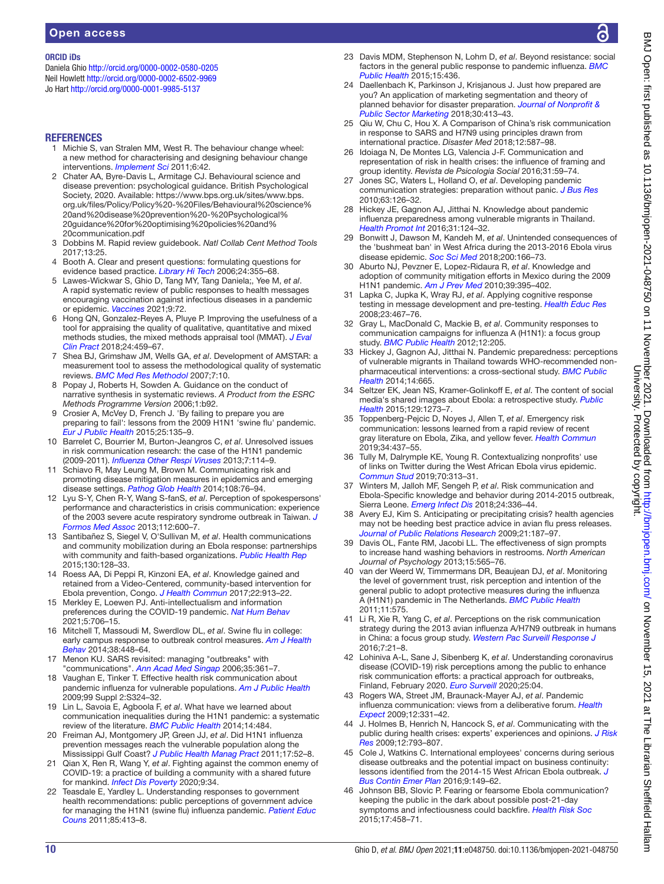#### ORCID iDs

Daniela Ghio <http://orcid.org/0000-0002-0580-0205> Neil Howlett<http://orcid.org/0000-0002-6502-9969> Jo Hart <http://orcid.org/0000-0001-9985-5137>

#### **REFERENCES**

- <span id="page-11-0"></span>1 Michie S, van Stralen MM, West R. The behaviour change wheel: a new method for characterising and designing behaviour change interventions. *[Implement Sci](http://dx.doi.org/10.1186/1748-5908-6-42)* 2011;6:42.
- <span id="page-11-1"></span>2 Chater AA, Byre-Davis L, Armitage CJ. Behavioural science and disease prevention: psychological guidance. British Psychological Society, 2020. Available: [https://www.bps.org.uk/sites/www.bps.](https://www.bps.org.uk/sites/www.bps.org.uk/files/Policy/Policy%20-%20Files/Behavioural%20science%20and%20disease%20prevention%20-%20Psychological%20guidance%20for%20optimising%20policies%20and%20communication.pdf) [org.uk/files/Policy/Policy%20-%20Files/Behavioural%20science%](https://www.bps.org.uk/sites/www.bps.org.uk/files/Policy/Policy%20-%20Files/Behavioural%20science%20and%20disease%20prevention%20-%20Psychological%20guidance%20for%20optimising%20policies%20and%20communication.pdf) [20and%20disease%20prevention%20-%20Psychological%](https://www.bps.org.uk/sites/www.bps.org.uk/files/Policy/Policy%20-%20Files/Behavioural%20science%20and%20disease%20prevention%20-%20Psychological%20guidance%20for%20optimising%20policies%20and%20communication.pdf) [20guidance%20for%20optimising%20policies%20and%](https://www.bps.org.uk/sites/www.bps.org.uk/files/Policy/Policy%20-%20Files/Behavioural%20science%20and%20disease%20prevention%20-%20Psychological%20guidance%20for%20optimising%20policies%20and%20communication.pdf) [20communication.pdf](https://www.bps.org.uk/sites/www.bps.org.uk/files/Policy/Policy%20-%20Files/Behavioural%20science%20and%20disease%20prevention%20-%20Psychological%20guidance%20for%20optimising%20policies%20and%20communication.pdf)
- <span id="page-11-2"></span>3 Dobbins M. Rapid review guidebook. *Natl Collab Cent Method Tools* 2017;13:25.
- <span id="page-11-3"></span>4 Booth A. Clear and present questions: formulating questions for evidence based practice. *[Library Hi Tech](http://dx.doi.org/10.1108/07378830610692127)* 2006;24:355–68.
- <span id="page-11-4"></span>5 Lawes-Wickwar S, Ghio D, Tang MY, Tang Daniela;, Yee M, *et al*. A rapid systematic review of public responses to health messages encouraging vaccination against infectious diseases in a pandemic or epidemic. *[Vaccines](http://dx.doi.org/10.3390/vaccines9020072)* 2021;9:72.
- <span id="page-11-5"></span>6 Hong QN, Gonzalez-Reyes A, Pluye P. Improving the usefulness of a tool for appraising the quality of qualitative, quantitative and mixed methods studies, the mixed methods appraisal tool (MMAT). *[J Eval](http://dx.doi.org/10.1111/jep.12884)  [Clin Pract](http://dx.doi.org/10.1111/jep.12884)* 2018;24:459–67.
- <span id="page-11-6"></span>7 Shea BJ, Grimshaw JM, Wells GA, *et al*. Development of AMSTAR: a measurement tool to assess the methodological quality of systematic reviews. *[BMC Med Res Methodol](http://dx.doi.org/10.1186/1471-2288-7-10)* 2007;7:10.
- <span id="page-11-7"></span>8 Popay J, Roberts H, Sowden A. Guidance on the conduct of narrative synthesis in systematic reviews. *A Product from the ESRC Methods Programme Version* 2006;1:b92.
- <span id="page-11-8"></span>9 Crosier A, McVey D, French J. 'By failing to prepare you are preparing to fail': lessons from the 2009 H1N1 'swine flu' pandemic. *[Eur J Public Health](http://dx.doi.org/10.1093/eurpub/cku131)* 2015;25:135–9.
- <span id="page-11-9"></span>10 Barrelet C, Bourrier M, Burton-Jeangros C, *et al*. Unresolved issues in risk communication research: the case of the H1N1 pandemic (2009-2011). *[Influenza Other Respi Viruses](http://dx.doi.org/10.1111/irv.12090)* 2013;7:114–9.
- <span id="page-11-10"></span>11 Schiavo R, May Leung M, Brown M. Communicating risk and promoting disease mitigation measures in epidemics and emerging disease settings. *[Pathog Glob Health](http://dx.doi.org/10.1179/2047773214Y.0000000127)* 2014;108:76–94.
- <span id="page-11-11"></span>12 Lyu S-Y, Chen R-Y, Wang S-fanS, *et al*. Perception of spokespersons' performance and characteristics in crisis communication: experience of the 2003 severe acute respiratory syndrome outbreak in Taiwan. *[J](http://dx.doi.org/10.1016/j.jfma.2012.12.005)  [Formos Med Assoc](http://dx.doi.org/10.1016/j.jfma.2012.12.005)* 2013;112:600–7.
- <span id="page-11-12"></span>13 Santibañez S, Siegel V, O'Sullivan M, *et al*. Health communications and community mobilization during an Ebola response: partnerships with community and faith-based organizations. *[Public Health Rep](http://dx.doi.org/10.1177/003335491513000205)* 2015;130:128–33.
- <span id="page-11-13"></span>14 Roess AA, Di Peppi R, Kinzoni EA, *et al*. Knowledge gained and retained from a Video-Centered, community-based intervention for Ebola prevention, Congo. *[J Health Commun](http://dx.doi.org/10.1080/10810730.2017.1377321)* 2017;22:913–22.
- <span id="page-11-14"></span>15 Merkley E, Loewen PJ. Anti-intellectualism and information preferences during the COVID-19 pandemic. *[Nat Hum Behav](https://doi.org/10.1038/s41562-021-01112-w)* 2021;5:706–15.
- <span id="page-11-15"></span>16 Mitchell T, Massoudi M, Swerdlow DL, *et al*. Swine flu in college: early campus response to outbreak control measures. *[Am J Health](http://dx.doi.org/10.5993/AJHB.38.3.14)  [Behav](http://dx.doi.org/10.5993/AJHB.38.3.14)* 2014;38:448–64.
- <span id="page-11-16"></span>17 Menon KU. SARS revisited: managing "outbreaks" with "communications". *[Ann Acad Med Singap](http://www.ncbi.nlm.nih.gov/pubmed/16830005)* 2006;35:361–7.
- 18 Vaughan E, Tinker T. Effective health risk communication about pandemic influenza for vulnerable populations. *[Am J Public Health](http://dx.doi.org/10.2105/AJPH.2009.162537)* 2009;99 Suppl 2:S324–32.
- <span id="page-11-17"></span>19 Lin L, Savoia E, Agboola F, *et al*. What have we learned about communication inequalities during the H1N1 pandemic: a systematic review of the literature. *[BMC Public Health](http://dx.doi.org/10.1186/1471-2458-14-484)* 2014;14:484.
- <span id="page-11-18"></span>20 Freiman AJ, Montgomery JP, Green JJ, *et al*. Did H1N1 influenza prevention messages reach the vulnerable population along the Mississippi Gulf Coast? *[J Public Health Manag Pract](http://dx.doi.org/10.1097/PHH.0b013e3181fb8002)* 2011;17:52–8.
- 21 Qian X, Ren R, Wang Y, *et al*. Fighting against the common enemy of COVID-19: a practice of building a community with a shared future for mankind. *[Infect Dis Poverty](http://dx.doi.org/10.1186/s40249-020-00650-1)* 2020;9:34.
- <span id="page-11-39"></span>22 Teasdale E, Yardley L. Understanding responses to government health recommendations: public perceptions of government advice for managing the H1N1 (swine flu) influenza pandemic. *[Patient Educ](http://dx.doi.org/10.1016/j.pec.2010.12.026)  [Couns](http://dx.doi.org/10.1016/j.pec.2010.12.026)* 2011;85:413–8.
- 23 Davis MDM, Stephenson N, Lohm D, *et al*. Beyond resistance: social factors in the general public response to pandemic influenza. *[BMC](http://dx.doi.org/10.1186/s12889-015-1756-8)  [Public Health](http://dx.doi.org/10.1186/s12889-015-1756-8)* 2015;15:436.
- <span id="page-11-19"></span>24 Daellenbach K, Parkinson J, Krisjanous J. Just how prepared are you? An application of marketing segmentation and theory of planned behavior for disaster preparation. *[Journal of Nonprofit &](http://dx.doi.org/10.1080/10495142.2018.1452830)  [Public Sector Marketing](http://dx.doi.org/10.1080/10495142.2018.1452830)* 2018;30:413–43.
- <span id="page-11-38"></span>25 Qiu W, Chu C, Hou X. A Comparison of China's risk communication in response to SARS and H7N9 using principles drawn from international practice. *Disaster Med* 2018;12:587–98.
- <span id="page-11-20"></span>26 Idoiaga N, De Montes LG, Valencia J-F. Communication and representation of risk in health crises: the influence of framing and group identity. *Revista de Psicologia Social* 2016;31:59–74.
- <span id="page-11-21"></span>27 Jones SC, Waters L, Holland O, *et al*. Developing pandemic communication strategies: preparation without panic. *[J Bus Res](http://dx.doi.org/10.1016/j.jbusres.2009.02.009)* 2010;63:126–32.
- <span id="page-11-22"></span>28 Hickey JE, Gagnon AJ, Jitthai N. Knowledge about pandemic influenza preparedness among vulnerable migrants in Thailand. *[Health Promot Int](http://dx.doi.org/10.1093/heapro/dau074)* 2016;31:124–32.
- <span id="page-11-23"></span>29 Bonwitt J, Dawson M, Kandeh M, *et al*. Unintended consequences of the 'bushmeat ban' in West Africa during the 2013-2016 Ebola virus disease epidemic. *[Soc Sci Med](http://dx.doi.org/10.1016/j.socscimed.2017.12.028)* 2018;200:166–73.
- <span id="page-11-24"></span>30 Aburto NJ, Pevzner E, Lopez-Ridaura R, *et al*. Knowledge and adoption of community mitigation efforts in Mexico during the 2009 H1N1 pandemic. *[Am J Prev Med](http://dx.doi.org/10.1016/j.amepre.2010.07.011)* 2010;39:395–402.
- <span id="page-11-25"></span>31 Lapka C, Jupka K, Wray RJ, *et al*. Applying cognitive response testing in message development and pre-testing. *[Health Educ Res](http://dx.doi.org/10.1093/her/cym089)* 2008;23:467–76.
- <span id="page-11-26"></span>32 Gray L, MacDonald C, Mackie B, *et al*. Community responses to communication campaigns for influenza A (H1N1): a focus group study. *[BMC Public Health](http://dx.doi.org/10.1186/1471-2458-12-205)* 2012;12:205.
- <span id="page-11-27"></span>33 Hickey J, Gagnon AJ, Jitthai N. Pandemic preparedness: perceptions of vulnerable migrants in Thailand towards WHO-recommended nonpharmaceutical interventions: a cross-sectional study. *[BMC Public](http://dx.doi.org/10.1186/1471-2458-14-665)  [Health](http://dx.doi.org/10.1186/1471-2458-14-665)* 2014;14:665.
- <span id="page-11-28"></span>34 Seltzer EK, Jean NS, Kramer-Golinkoff E, *et al*. The content of social media's shared images about Ebola: a retrospective study. *[Public](http://dx.doi.org/10.1016/j.puhe.2015.07.025)  [Health](http://dx.doi.org/10.1016/j.puhe.2015.07.025)* 2015;129:1273–7.
- <span id="page-11-40"></span>35 Toppenberg-Pejcic D, Noyes J, Allen T, *et al*. Emergency risk communication: lessons learned from a rapid review of recent gray literature on Ebola, Zika, and yellow fever. *[Health Commun](http://dx.doi.org/10.1080/10410236.2017.1405488)* 2019;34:437–55.
- <span id="page-11-29"></span>36 Tully M, Dalrymple KE, Young R. Contextualizing nonprofits' use of links on Twitter during the West African Ebola virus epidemic. *[Commun Stud](http://dx.doi.org/10.1080/10510974.2018.1539021)* 2019;70:313–31.
- <span id="page-11-30"></span>37 Winters M, Jalloh MF, Sengeh P, *et al*. Risk communication and Ebola-Specific knowledge and behavior during 2014-2015 outbreak, Sierra Leone. *[Emerg Infect Dis](http://dx.doi.org/10.3201/eid2402.171028)* 2018;24:336–44.
- <span id="page-11-31"></span>38 Avery EJ, Kim S. Anticipating or precipitating crisis? health agencies may not be heeding best practice advice in avian flu press releases. *[Journal of Public Relations Research](http://dx.doi.org/10.1080/10627260802557449)* 2009;21:187–97.
- <span id="page-11-32"></span>39 Davis OL, Fante RM, Jacobi LL. The effectiveness of sign prompts to increase hand washing behaviors in restrooms. *North American Journal of Psychology* 2013;15:565–76.
- <span id="page-11-33"></span>40 van der Weerd W, Timmermans DR, Beaujean DJ, *et al*. Monitoring the level of government trust, risk perception and intention of the general public to adopt protective measures during the influenza A (H1N1) pandemic in The Netherlands. *[BMC Public Health](http://dx.doi.org/10.1186/1471-2458-11-575)* 2011;11:575.
- <span id="page-11-34"></span>41 Li R, Xie R, Yang C, *et al*. Perceptions on the risk communication strategy during the 2013 avian influenza A/H7N9 outbreak in humans in China: a focus group study. *[Western Pac Surveill Response J](http://dx.doi.org/10.5365/wpsar.2016.7.1.005)* 2016;7:21–8.
- <span id="page-11-35"></span>42 Lohiniva A-L, Sane J, Sibenberg K, *et al*. Understanding coronavirus disease (COVID-19) risk perceptions among the public to enhance risk communication efforts: a practical approach for outbreaks, Finland, February 2020. *[Euro Surveill](http://dx.doi.org/10.2807/1560-7917.ES.2020.25.13.2000317)* 2020;25:04.
- 43 Rogers WA, Street JM, Braunack-Mayer AJ, *et al*. Pandemic influenza communication: views from a deliberative forum. *[Health](http://dx.doi.org/10.1111/j.1369-7625.2009.00562.x)  [Expect](http://dx.doi.org/10.1111/j.1369-7625.2009.00562.x)* 2009;12:331–42.
- <span id="page-11-36"></span>44 J. Holmes B, Henrich N, Hancock S, *et al*. Communicating with the public during health crises: experts' experiences and opinions. *[J Risk](http://dx.doi.org/10.1080/13669870802648486)  [Res](http://dx.doi.org/10.1080/13669870802648486)* 2009;12:793–807.
- <span id="page-11-37"></span>45 Cole J, Watkins C. International employees' concerns during serious disease outbreaks and the potential impact on business continuity: lessons identified from the 2014-15 West African Ebola outbreak. *[J](http://www.ncbi.nlm.nih.gov/pubmed/26642172)  [Bus Contin Emer Plan](http://www.ncbi.nlm.nih.gov/pubmed/26642172)* 2016;9:149–62.
- 46 Johnson BB, Slovic P. Fearing or fearsome Ebola communication? keeping the public in the dark about possible post-21-day symptoms and infectiousness could backfire. *[Health Risk Soc](http://dx.doi.org/10.1080/13698575.2015.1113237)* 2015;17:458–71.